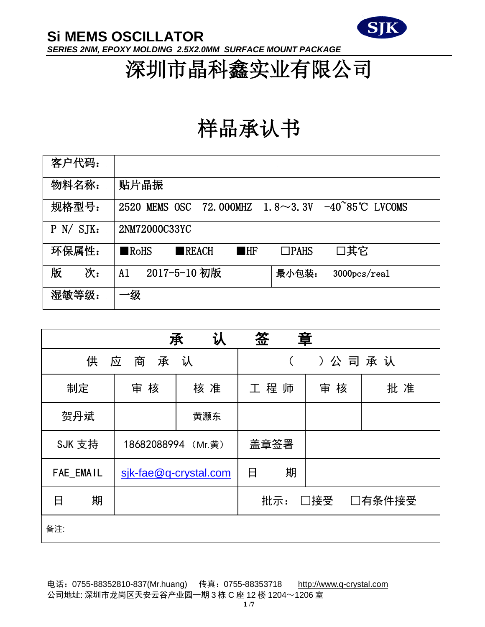

深圳市晶科鑫实业有限公司

# 样品承认书

| 客户代码:     |                                                                                        |
|-----------|----------------------------------------------------------------------------------------|
| 物料名称:     | 贴片晶振                                                                                   |
| 规格型号:     | 1.8 $\sim$ 3.3V $-40^{\circ}85^{\circ}$ C LVCOMS<br>72.000MHZ<br>MEMS OSC<br>2520      |
| P N / SJK | 2NM72000C33YC                                                                          |
| 环保属性:     | □其它<br>$\blacksquare$ RoHS<br>$\blacksquare$ REACH<br>$\blacksquare$ HF<br>$\Box$ PAHS |
| 版<br>次:   | 2017-5-10 初版<br>A1<br>最小包装:<br>$3000 \text{pc}$ s/real                                 |
| 湿敏等级:     | 级                                                                                      |

|                  |                    | 认<br>承                | 签                    | 章      |    |
|------------------|--------------------|-----------------------|----------------------|--------|----|
| 供                | 应<br>商<br>承        | 认                     |                      | ) 公司承认 |    |
| 制定               | 审 核                | 核 准                   | 工程师                  | 审核     | 批准 |
| 贺丹斌              |                    | 黄灏东                   |                      |        |    |
| SJK 支持           | 18682088994 (Mr.黄) |                       | 盖章签署                 |        |    |
| <b>FAE EMAIL</b> |                    | sik-fae@q-crystal.com | 期<br>日               |        |    |
| 期<br>日           |                    |                       | 批示:<br>□接受<br>□有条件接受 |        |    |
| 备注:              |                    |                       |                      |        |    |

电话: 0755-88352810-837(Mr.huang) 传真: 0755-88353718 [http://www.q-crystal.com](http://www.q-crystal.com/) 公司地址: 深圳市龙岗区天安云谷产业园一期 3 栋 C 座 12 楼 1204~1206 室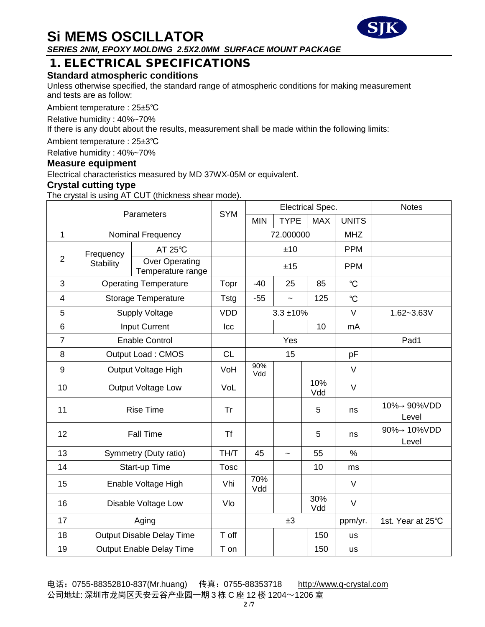### 1. ELECTRICAL SPECIFICATIONS

### **Standard atmospheric conditions**

Unless otherwise specified, the standard range of atmospheric conditions for making measurement and tests are as follow:

Ambient temperature : 25±5℃

Relative humidity : 40%~70%

If there is any doubt about the results, measurement shall be made within the following limits:

Ambient temperature : 25±3℃

Relative humidity : 40%~70%

#### **Measure equipment**

Electrical characteristics measured by MD 37WX-05M or equivalent.

#### **Crystal cutting type**

The crystal is using AT CUT (thickness shear mode).

|                | Parameters                |                                            | <b>SYM</b>  | Electrical Spec. |                       |            |               | <b>Notes</b>         |
|----------------|---------------------------|--------------------------------------------|-------------|------------------|-----------------------|------------|---------------|----------------------|
|                |                           |                                            |             | <b>MIN</b>       | <b>TYPE</b>           | <b>MAX</b> | <b>UNITS</b>  |                      |
| $\mathbf{1}$   | Nominal Frequency         |                                            |             | 72.000000        |                       | <b>MHZ</b> |               |                      |
|                | Frequency                 | $AT 25^{\circ}C$                           |             |                  | ±10                   |            | <b>PPM</b>    |                      |
| $\overline{2}$ | <b>Stability</b>          | <b>Over Operating</b><br>Temperature range |             | ±15              |                       |            | <b>PPM</b>    |                      |
| 3              |                           | <b>Operating Temperature</b>               | Topr        | $-40$            | 25                    | 85         | $^{\circ}C$   |                      |
| $\overline{4}$ |                           | Storage Temperature                        | Tstg        | $-55$            | $\tilde{\phantom{a}}$ | 125        | $^{\circ}C$   |                      |
| 5              |                           | <b>Supply Voltage</b>                      | <b>VDD</b>  | $3.3 + 10%$      |                       | $\vee$     | 1.62~3.63V    |                      |
| 6              |                           | Input Current                              | Icc         |                  |                       | 10         | mA            |                      |
| $\overline{7}$ | <b>Enable Control</b>     |                                            |             | Yes              |                       |            | Pad1          |                      |
| 8              | <b>Output Load: CMOS</b>  |                                            | <b>CL</b>   | 15               |                       | pF         |               |                      |
| 9              | Output Voltage High       |                                            | VoH         | 90%<br>Vdd       |                       |            | $\vee$        |                      |
| 10             | <b>Output Voltage Low</b> |                                            | VoL         |                  |                       | 10%<br>Vdd | $\vee$        |                      |
| 11             | <b>Rise Time</b>          |                                            | Tr          |                  |                       | 5          | ns            | 10%→ 90%VDD<br>Level |
| 12             | <b>Fall Time</b>          |                                            | <b>Tf</b>   |                  |                       | 5          | ns            | 90%→ 10%VDD<br>Level |
| 13             | Symmetry (Duty ratio)     |                                            | TH/T        | 45               | $\overline{ }$        | 55         | $\frac{0}{0}$ |                      |
| 14             |                           | Start-up Time                              | <b>Tosc</b> |                  |                       | 10         | ms            |                      |
| 15             | Enable Voltage High       |                                            | Vhi         | 70%<br>Vdd       |                       |            | $\vee$        |                      |
| 16             | Disable Voltage Low       |                                            | Vlo         |                  |                       | 30%<br>Vdd | $\vee$        |                      |
| 17             | Aging                     |                                            |             |                  | ±3                    |            | ppm/yr.       | 1st. Year at 25°C    |
| 18             |                           | Output Disable Delay Time                  | T off       |                  |                       | 150        | <b>us</b>     |                      |
| 19             | Output Enable Delay Time  |                                            | T on        |                  |                       | 150        | <b>us</b>     |                      |

电话: 0755-88352810-837(Mr.huang) 传真: 0755-88353718 [http://www.q-crystal.com](http://www.q-crystal.com/) 公司地址: 深圳市龙岗区天安云谷产业园一期 3 栋 C 座 12 楼 1204~1206 室

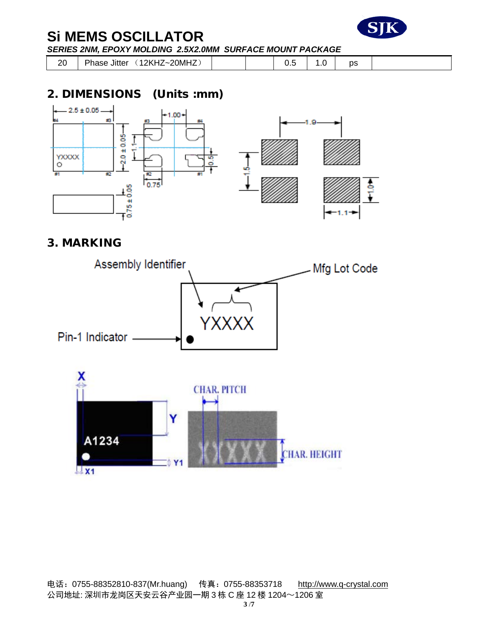

20 | Phase Jitter (12KHZ~20MHZ) | | | 0.5 | 1.0 | ps

## 2. DIMENSIONS (Units :mm)



### 3. MARKING

 $\mathbf{X}$ 1

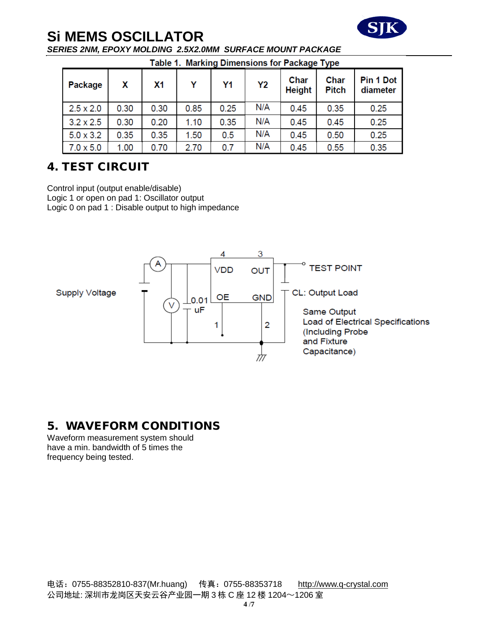

| <b>Table 1. Marking Dimensions for Package Type</b> |
|-----------------------------------------------------|
|-----------------------------------------------------|

| Package          | X    | X1   | Υ    | Y1   | Υ2  | Char<br><b>Height</b> | Char<br><b>Pitch</b> | Pin 1 Dot<br>diameter |
|------------------|------|------|------|------|-----|-----------------------|----------------------|-----------------------|
| $2.5 \times 2.0$ | 0.30 | 0.30 | 0.85 | 0.25 | N/A | 0.45                  | 0.35                 | 0.25                  |
| $3.2 \times 2.5$ | 0.30 | 0.20 | 1.10 | 0.35 | N/A | 0.45                  | 0.45                 | 0.25                  |
| $5.0 \times 3.2$ | 0.35 | 0.35 | 1.50 | 0.5  | N/A | 0.45                  | 0.50                 | 0.25                  |
| $7.0 \times 5.0$ | 1.00 | 0.70 | 2.70 | 0.7  | N/A | 0.45                  | 0.55                 | 0.35                  |

# 4. TEST CIRCUIT

Control input (output enable/disable) Logic 1 or open on pad 1: Oscillator output Logic 0 on pad 1 : Disable output to high impedance



## 5. WAVEFORM CONDITIONS

Waveform measurement system should have a min. bandwidth of 5 times the frequency being tested.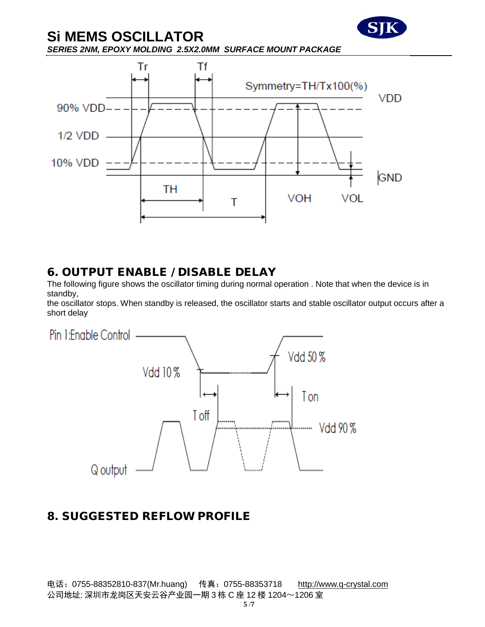

#### 6. OUTPUT ENABLE / DISABLE DELAY

The following figure shows the oscillator timing during normal operation . Note that when the device is in standby,

the oscillator stops. When standby is released, the oscillator starts and stable oscillator output occurs after a short delay



### 8. SUGGESTED REFLOW PROFILE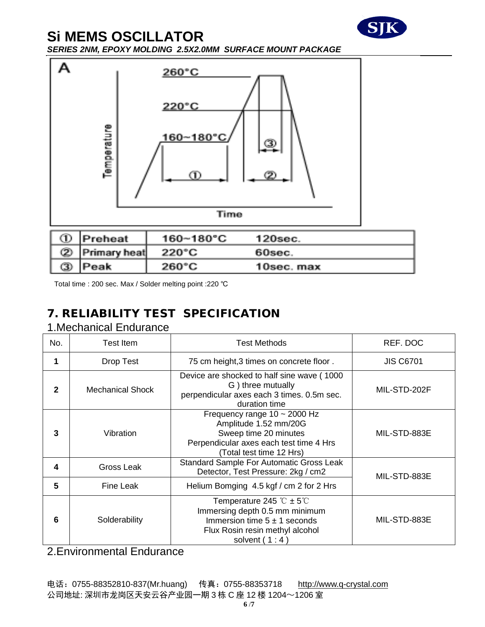



Total time : 200 sec. Max / Solder melting point :220 ℃

# 7. RELIABILITY TEST SPECIFICATION

### 1.Mechanical Endurance

| No. | Test Item        | Test Methods                                                                                                                                                            | REF. DOC         |  |
|-----|------------------|-------------------------------------------------------------------------------------------------------------------------------------------------------------------------|------------------|--|
|     | Drop Test        | 75 cm height, 3 times on concrete floor.                                                                                                                                | <b>JIS C6701</b> |  |
|     | Mechanical Shock | Device are shocked to half sine wave (1000)<br>G) three mutually<br>perpendicular axes each 3 times. 0.5m sec.<br>duration time                                         | MIL-STD-202F     |  |
| 3   | Vibration        | Frequency range $10 \sim 2000$ Hz<br>Amplitude 1.52 mm/20G<br>Sweep time 20 minutes<br>Perpendicular axes each test time 4 Hrs<br>(Total test time 12 Hrs)              | MIL-STD-883E     |  |
| 4   | Gross Leak       | Standard Sample For Automatic Gross Leak<br>Detector, Test Pressure: 2kg / cm2                                                                                          | MIL-STD-883E     |  |
| 5   | Fine Leak        | Helium Bomging 4.5 kgf / cm 2 for 2 Hrs                                                                                                                                 |                  |  |
| 6   | Solderability    | Temperature 245 $\degree$ C ± 5 $\degree$ C<br>Immersing depth 0.5 mm minimum<br>Immersion time $5 \pm 1$ seconds<br>Flux Rosin resin methyl alcohol<br>solvent $(1:4)$ | MIL-STD-883E     |  |

2.Environmental Endurance

电话: 0755-88352810-837(Mr.huang) 传真: 0755-88353718 [http://www.q-crystal.com](http://www.q-crystal.com/) 公司地址: 深圳市龙岗区天安云谷产业园一期 3 栋 C 座 12 楼 1204~1206 室